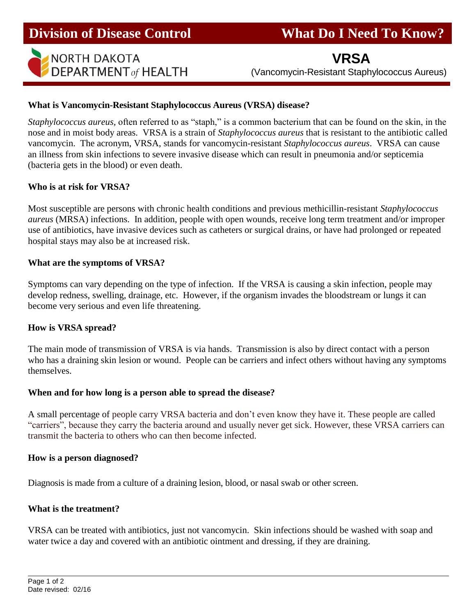

**VRSA**

(Vancomycin-Resistant Staphylococcus Aureus)

### **What is Vancomycin-Resistant Staphylococcus Aureus (VRSA) disease?**

*Staphylococcus aureus,* often referred to as "staph," is a common bacterium that can be found on the skin, in the nose and in moist body areas. VRSA is a strain of *Staphylococcus aureus* that is resistant to the antibiotic called vancomycin. The acronym, VRSA, stands for vancomycin-resistant *Staphylococcus aureus*. VRSA can cause an illness from skin infections to severe invasive disease which can result in pneumonia and/or septicemia (bacteria gets in the blood) or even death.

#### **Who is at risk for VRSA?**

Most susceptible are persons with chronic health conditions and previous methicillin-resistant *Staphylococcus aureus* (MRSA) infections. In addition, people with open wounds, receive long term treatment and/or improper use of antibiotics, have invasive devices such as catheters or surgical drains, or have had prolonged or repeated hospital stays may also be at increased risk.

#### **What are the symptoms of VRSA?**

Symptoms can vary depending on the type of infection. If the VRSA is causing a skin infection, people may develop redness, swelling, drainage, etc. However, if the organism invades the bloodstream or lungs it can become very serious and even life threatening.

#### **How is VRSA spread?**

The main mode of transmission of VRSA is via hands. Transmission is also by direct contact with a person who has a draining skin lesion or wound. People can be carriers and infect others without having any symptoms themselves.

#### **When and for how long is a person able to spread the disease?**

A small percentage of people carry VRSA bacteria and don't even know they have it. These people are called "carriers", because they carry the bacteria around and usually never get sick. However, these VRSA carriers can transmit the bacteria to others who can then become infected.

#### **How is a person diagnosed?**

Diagnosis is made from a culture of a draining lesion, blood, or nasal swab or other screen.

#### **What is the treatment?**

VRSA can be treated with antibiotics, just not vancomycin. Skin infections should be washed with soap and water twice a day and covered with an antibiotic ointment and dressing, if they are draining.